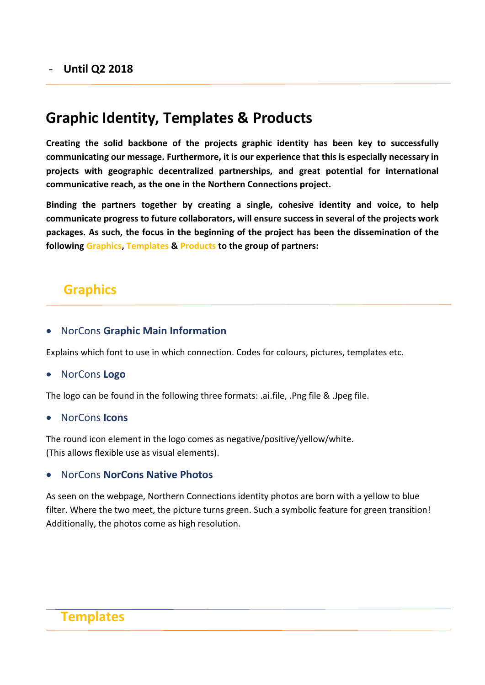#### - **Until Q2 2018**

## **Graphic Identity, Templates & Products**

**Creating the solid backbone of the projects graphic identity has been key to successfully communicating our message. Furthermore, it is our experience that this is especially necessary in projects with geographic decentralized partnerships, and great potential for international communicative reach, as the one in the Northern Connections project.** 

**Binding the partners together by creating a single, cohesive identity and voice, to help communicate progress to future collaborators, will ensure success in several of the projects work packages. As such, the focus in the beginning of the project has been the dissemination of the following Graphics, Templates & Products to the group of partners:**

### **Graphics**

#### NorCons **Graphic Main Information**

Explains which font to use in which connection. Codes for colours, pictures, templates etc.

#### NorCons **Logo**

The logo can be found in the following three formats: .ai.file, .Png file & .Jpeg file.

NorCons **Icons**

The round icon element in the logo comes as negative/positive/yellow/white. (This allows flexible use as visual elements).

#### NorCons **NorCons Native Photos**

As seen on the webpage, Northern Connections identity photos are born with a yellow to blue filter. Where the two meet, the picture turns green. Such a symbolic feature for green transition! Additionally, the photos come as high resolution.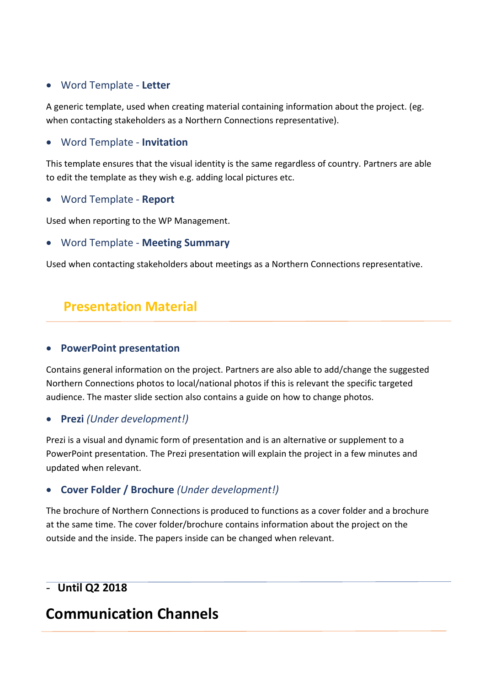### Word Template - **Letter**

A generic template, used when creating material containing information about the project. (eg. when contacting stakeholders as a Northern Connections representative).

#### Word Template - **Invitation**

This template ensures that the visual identity is the same regardless of country. Partners are able to edit the template as they wish e.g. adding local pictures etc.

#### Word Template - **Report**

Used when reporting to the WP Management.

#### Word Template - **Meeting Summary**

Used when contacting stakeholders about meetings as a Northern Connections representative.

### **Presentation Material**

#### **PowerPoint presentation**

Contains general information on the project. Partners are also able to add/change the suggested Northern Connections photos to local/national photos if this is relevant the specific targeted audience. The master slide section also contains a guide on how to change photos.

#### **Prezi** *(Under development!)*

Prezi is a visual and dynamic form of presentation and is an alternative or supplement to a PowerPoint presentation. The Prezi presentation will explain the project in a few minutes and updated when relevant.

#### **Cover Folder / Brochure** *(Under development!)*

The brochure of Northern Connections is produced to functions as a cover folder and a brochure at the same time. The cover folder/brochure contains information about the project on the outside and the inside. The papers inside can be changed when relevant.

### - **Until Q2 2018**

## **Communication Channels**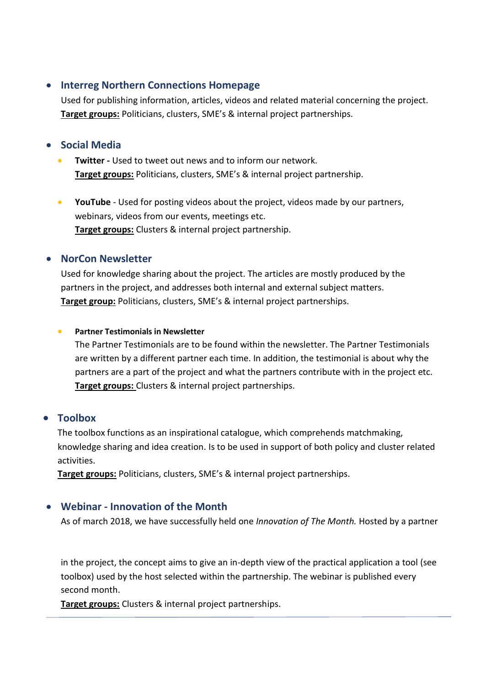#### **Interreg Northern Connections Homepage**

Used for publishing information, articles, videos and related material concerning the project. **Target groups:** Politicians, clusters, SME's & internal project partnerships.

#### **Social Media**

- **Twitter -** Used to tweet out news and to inform our network. **Target groups:** Politicians, clusters, SME's & internal project partnership.
- **YouTube**  Used for posting videos about the project, videos made by our partners, webinars, videos from our events, meetings etc. **Target groups:** Clusters & internal project partnership.

#### **NorCon Newsletter**

Used for knowledge sharing about the project. The articles are mostly produced by the partners in the project, and addresses both internal and external subject matters. **Target group:** Politicians, clusters, SME's & internal project partnerships.

#### **Partner Testimonials in Newsletter**

The Partner Testimonials are to be found within the newsletter. The Partner Testimonials are written by a different partner each time. In addition, the testimonial is about why the partners are a part of the project and what the partners contribute with in the project etc. **Target groups:** Clusters & internal project partnerships.

#### **Toolbox**

The toolbox functions as an inspirational catalogue, which comprehends matchmaking, knowledge sharing and idea creation. Is to be used in support of both policy and cluster related activities.

**Target groups:** Politicians, clusters, SME's & internal project partnerships.

#### **Webinar - Innovation of the Month**

As of march 2018, we have successfully held one *Innovation of The Month.* Hosted by a partner

in the project, the concept aims to give an in-depth view of the practical application a tool (see toolbox) used by the host selected within the partnership. The webinar is published every second month.

**Target groups:** Clusters & internal project partnerships.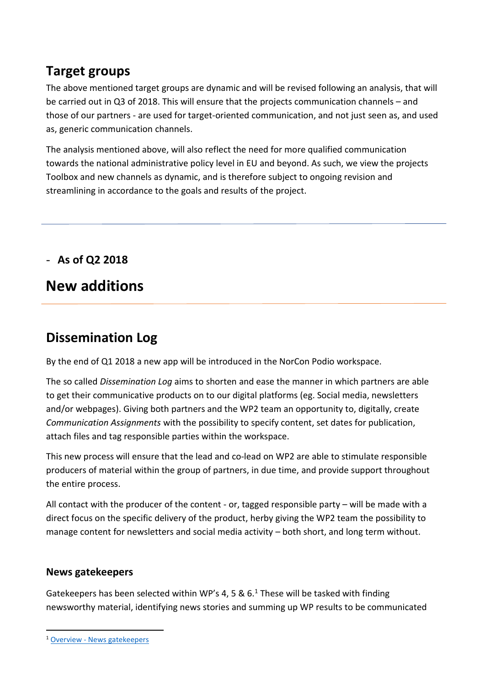## **Target groups**

The above mentioned target groups are dynamic and will be revised following an analysis, that will be carried out in Q3 of 2018. This will ensure that the projects communication channels – and those of our partners - are used for target-oriented communication, and not just seen as, and used as, generic communication channels.

The analysis mentioned above, will also reflect the need for more qualified communication towards the national administrative policy level in EU and beyond. As such, we view the projects Toolbox and new channels as dynamic, and is therefore subject to ongoing revision and streamlining in accordance to the goals and results of the project.

- **As of Q2 2018**

## **New additions**

## **Dissemination Log**

By the end of Q1 2018 a new app will be introduced in the NorCon Podio workspace.

The so called *Dissemination Log* aims to shorten and ease the manner in which partners are able to get their communicative products on to our digital platforms (eg. Social media, newsletters and/or webpages). Giving both partners and the WP2 team an opportunity to, digitally, create *Communication Assignments* with the possibility to specify content, set dates for publication, attach files and tag responsible parties within the workspace.

This new process will ensure that the lead and co-lead on WP2 are able to stimulate responsible producers of material within the group of partners, in due time, and provide support throughout the entire process.

All contact with the producer of the content - or, tagged responsible party – will be made with a direct focus on the specific delivery of the product, herby giving the WP2 team the possibility to manage content for newsletters and social media activity – both short, and long term without.

#### **News gatekeepers**

Gatekeepers has been selected within WP's 4, 5 &  $6.1$  These will be tasked with finding newsworthy material, identifying news stories and summing up WP results to be communicated

1

<sup>1</sup> Overview - [News gatekeepers](https://cleancluster.box.com/s/ktnz2qz16rjx2hwupwvb9s975idicu0c)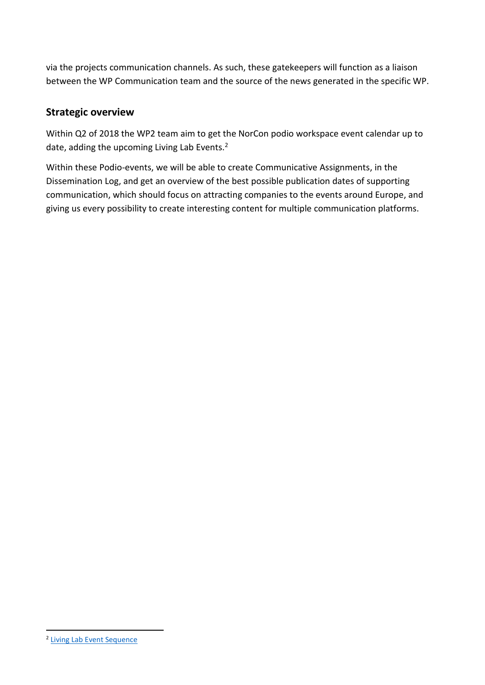via the projects communication channels. As such, these gatekeepers will function as a liaison between the WP Communication team and the source of the news generated in the specific WP.

#### **Strategic overview**

Within Q2 of 2018 the WP2 team aim to get the NorCon podio workspace event calendar up to date, adding the upcoming Living Lab Events.<sup>2</sup>

Within these Podio-events, we will be able to create Communicative Assignments, in the Dissemination Log, and get an overview of the best possible publication dates of supporting communication, which should focus on attracting companies to the events around Europe, and giving us every possibility to create interesting content for multiple communication platforms.

1

<sup>&</sup>lt;sup>2</sup> [Living Lab Event Sequence](https://cleancluster.box.com/s/djadhgx4t0m6jgkxd1nf0lyjj4nn8okq)